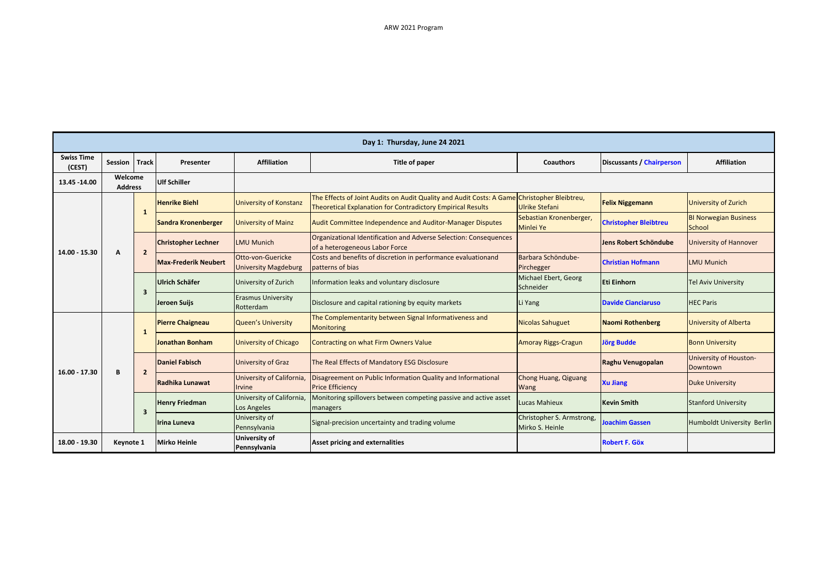| Day 1: Thursday, June 24 2021 |                           |                |                             |                                                  |                                                                                                                                                                   |                                              |                                  |                                        |  |  |  |
|-------------------------------|---------------------------|----------------|-----------------------------|--------------------------------------------------|-------------------------------------------------------------------------------------------------------------------------------------------------------------------|----------------------------------------------|----------------------------------|----------------------------------------|--|--|--|
| <b>Swiss Time</b><br>(CEST)   | Session                   | <b>Track</b>   | Presenter                   | <b>Affiliation</b>                               | Title of paper                                                                                                                                                    | Coauthors                                    | <b>Discussants / Chairperson</b> | <b>Affiliation</b>                     |  |  |  |
| 13.45 - 14.00                 | Welcome<br><b>Address</b> |                | <b>Ulf Schiller</b>         |                                                  |                                                                                                                                                                   |                                              |                                  |                                        |  |  |  |
| 14.00 - 15.30                 | A                         | 1              | <b>Henrike Biehl</b>        | <b>University of Konstanz</b>                    | The Effects of Joint Audits on Audit Quality and Audit Costs: A Game Christopher Bleibtreu,<br><b>Theoretical Explanation for Contradictory Empirical Results</b> | <b>Ulrike Stefani</b>                        | <b>Felix Niggemann</b>           | <b>University of Zurich</b>            |  |  |  |
|                               |                           |                | Sandra Kronenberger         | <b>University of Mainz</b>                       | Audit Committee Independence and Auditor-Manager Disputes                                                                                                         | Sebastian Kronenberger,<br>Minlei Ye         | <b>Christopher Bleibtreu</b>     | <b>BI Norwegian Business</b><br>School |  |  |  |
|                               |                           | $\overline{2}$ | <b>Christopher Lechner</b>  | <b>LMU Munich</b>                                | Organizational Identification and Adverse Selection: Consequences<br>of a heterogeneous Labor Force                                                               |                                              | <b>Jens Robert Schöndube</b>     | <b>University of Hannover</b>          |  |  |  |
|                               |                           |                | <b>Max-Frederik Neubert</b> | Otto-von-Guericke<br><b>University Magdeburg</b> | Costs and benefits of discretion in performance evaluationand<br>patterns of bias                                                                                 | Barbara Schöndube-<br>Pirchegger             | <b>Christian Hofmann</b>         | <b>LMU Munich</b>                      |  |  |  |
|                               |                           | 3              | Ulrich Schäfer              | University of Zurich                             | Information leaks and voluntary disclosure                                                                                                                        | Michael Ebert, Georg<br>Schneider            | Eti Einhorn                      | <b>Tel Aviv University</b>             |  |  |  |
|                               |                           |                | Jeroen Suijs                | <b>Erasmus University</b><br>Rotterdam           | Disclosure and capital rationing by equity markets                                                                                                                | Li Yang                                      | <b>Davide Cianciaruso</b>        | <b>HEC Paris</b>                       |  |  |  |
| $16.00 - 17.30$               | B                         | 1              | <b>Pierre Chaigneau</b>     | Queen's University                               | The Complementarity between Signal Informativeness and<br><b>Monitoring</b>                                                                                       | <b>Nicolas Sahuguet</b>                      | <b>Naomi Rothenberg</b>          | <b>University of Alberta</b>           |  |  |  |
|                               |                           |                | Jonathan Bonham             | <b>University of Chicago</b>                     | Contracting on what Firm Owners Value                                                                                                                             | <b>Amoray Riggs-Cragun</b>                   | <b>Jörg Budde</b>                | <b>Bonn University</b>                 |  |  |  |
|                               |                           | $\overline{2}$ | <b>Daniel Fabisch</b>       | University of Graz                               | The Real Effects of Mandatory ESG Disclosure                                                                                                                      |                                              | Raghu Venugopalan                | University of Houston-<br>Downtown     |  |  |  |
|                               |                           |                | Radhika Lunawat             | University of California,<br><b>Irvine</b>       | Disagreement on Public Information Quality and Informational<br><b>Price Efficiency</b>                                                                           | Chong Huang, Qiguang<br>Wang                 | <b>Xu Jiang</b>                  | <b>Duke University</b>                 |  |  |  |
|                               |                           | 3              | <b>Henry Friedman</b>       | University of California,<br><b>Los Angeles</b>  | Monitoring spillovers between competing passive and active asset<br>managers                                                                                      | Lucas Mahieux                                | <b>Kevin Smith</b>               | <b>Stanford University</b>             |  |  |  |
|                               |                           |                | Irina Luneva                | University of<br>Pennsylvania                    | Signal-precision uncertainty and trading volume                                                                                                                   | Christopher S. Armstrong,<br>Mirko S. Heinle | <b>Joachim Gassen</b>            | Humboldt University Berlin             |  |  |  |
| 18.00 - 19.30                 | Keynote 1                 |                | <b>Mirko Heinle</b>         | <b>University of</b><br>Pennsylvania             | <b>Asset pricing and externalities</b>                                                                                                                            |                                              | <b>Robert F. Göx</b>             |                                        |  |  |  |